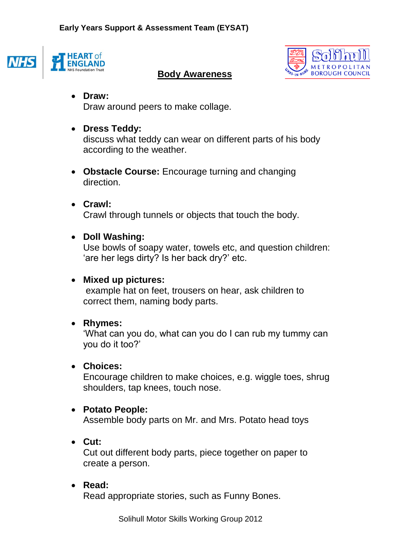



### **Body Awareness**

## **Draw:**

Draw around peers to make collage.

## **Dress Teddy:**

discuss what teddy can wear on different parts of his body according to the weather.

 **Obstacle Course:** Encourage turning and changing direction.

### **Crawl:**

Crawl through tunnels or objects that touch the body.

### **Doll Washing:**

Use bowls of soapy water, towels etc, and question children: 'are her legs dirty? Is her back dry?' etc.

### **Mixed up pictures:**

example hat on feet, trousers on hear, ask children to correct them, naming body parts.

# **Rhymes:**

'What can you do, what can you do I can rub my tummy can you do it too?'

### **Choices:**

Encourage children to make choices, e.g. wiggle toes, shrug shoulders, tap knees, touch nose.

### **Potato People:**

Assemble body parts on Mr. and Mrs. Potato head toys

**Cut:**

Cut out different body parts, piece together on paper to create a person.

# **Read:**

Read appropriate stories, such as Funny Bones.

Solihull Motor Skills Working Group 2012